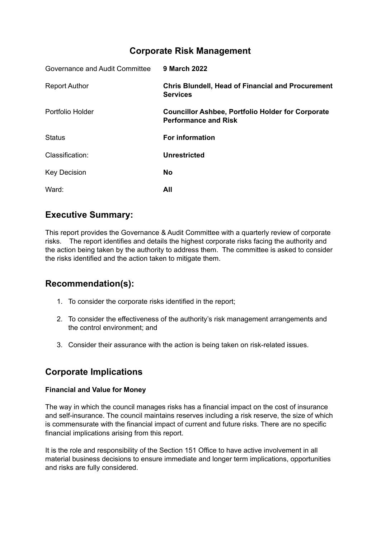# **Corporate Risk Management**

| Governance and Audit Committee | <b>9 March 2022</b>                                                                     |
|--------------------------------|-----------------------------------------------------------------------------------------|
| <b>Report Author</b>           | <b>Chris Blundell, Head of Financial and Procurement</b><br><b>Services</b>             |
| Portfolio Holder               | <b>Councillor Ashbee, Portfolio Holder for Corporate</b><br><b>Performance and Risk</b> |
| <b>Status</b>                  | <b>For information</b>                                                                  |
| Classification:                | <b>Unrestricted</b>                                                                     |
| <b>Key Decision</b>            | <b>No</b>                                                                               |
| Ward:                          | All                                                                                     |

# **Executive Summary:**

This report provides the Governance & Audit Committee with a quarterly review of corporate risks. The report identifies and details the highest corporate risks facing the authority and the action being taken by the authority to address them. The committee is asked to consider the risks identified and the action taken to mitigate them.

## **Recommendation(s):**

- 1. To consider the corporate risks identified in the report;
- 2. To consider the effectiveness of the authority's risk management arrangements and the control environment; and
- 3. Consider their assurance with the action is being taken on risk-related issues.

# **Corporate Implications**

### **Financial and Value for Money**

The way in which the council manages risks has a financial impact on the cost of insurance and self-insurance. The council maintains reserves including a risk reserve, the size of which is commensurate with the financial impact of current and future risks. There are no specific financial implications arising from this report.

It is the role and responsibility of the Section 151 Office to have active involvement in all material business decisions to ensure immediate and longer term implications, opportunities and risks are fully considered.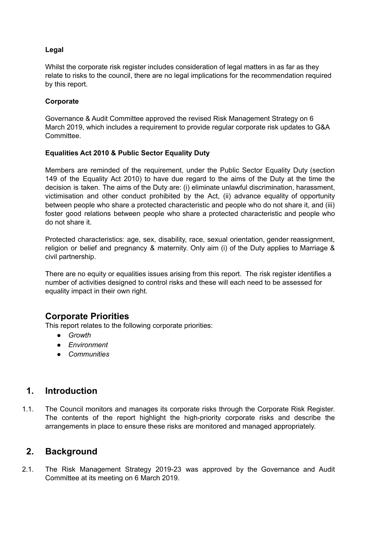### **Legal**

Whilst the corporate risk register includes consideration of legal matters in as far as they relate to risks to the council, there are no legal implications for the recommendation required by this report.

#### **Corporate**

Governance & Audit Committee approved the revised Risk Management Strategy on 6 March 2019, which includes a requirement to provide regular corporate risk updates to G&A Committee.

#### **Equalities Act 2010 & Public Sector Equality Duty**

Members are reminded of the requirement, under the Public Sector Equality Duty (section 149 of the Equality Act 2010) to have due regard to the aims of the Duty at the time the decision is taken. The aims of the Duty are: (i) eliminate unlawful discrimination, harassment, victimisation and other conduct prohibited by the Act, (ii) advance equality of opportunity between people who share a protected characteristic and people who do not share it, and (iii) foster good relations between people who share a protected characteristic and people who do not share it.

Protected characteristics: age, sex, disability, race, sexual orientation, gender reassignment, religion or belief and pregnancy & maternity. Only aim (i) of the Duty applies to Marriage & civil partnership.

There are no equity or equalities issues arising from this report. The risk register identifies a number of activities designed to control risks and these will each need to be assessed for equality impact in their own right.

### **Corporate Priorities**

This report relates to the following corporate priorities:

- *● Growth*
- *● Environment*
- *● Communities*

## **1. Introduction**

1.1. The Council monitors and manages its corporate risks through the Corporate Risk Register. The contents of the report highlight the high-priority corporate risks and describe the arrangements in place to ensure these risks are monitored and managed appropriately.

### **2. Background**

2.1. The Risk Management Strategy 2019-23 was approved by the Governance and Audit Committee at its meeting on 6 March 2019.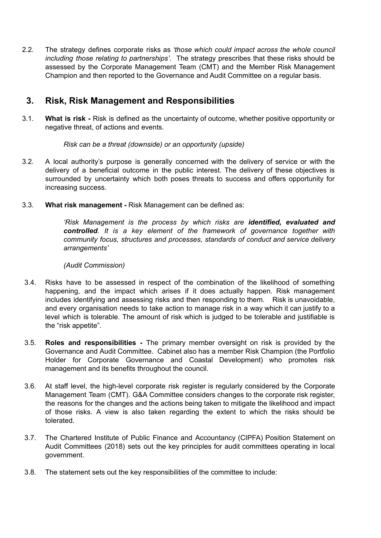2.2. The strategy defines corporate risks as *'those which could impact across the whole council including those relating to partnerships'*. The strategy prescribes that these risks should be assessed by the Corporate Management Team (CMT) and the Member Risk Management Champion and then reported to the Governance and Audit Committee on a regular basis.

## **3. Risk, Risk Management and Responsibilities**

3.1. **What is risk -** Risk is defined as the uncertainty of outcome, whether positive opportunity or negative threat, of actions and events.

### *Risk can be a threat (downside) or an opportunity (upside)*

- 3.2. A local authority's purpose is generally concerned with the delivery of service or with the delivery of a beneficial outcome in the public interest. The delivery of these objectives is surrounded by uncertainty which both poses threats to success and offers opportunity for increasing success.
- 3.3. **What risk management -** Risk Management can be defined as:

*'Risk Management is the process by which risks are identified, evaluated and controlled. It is a key element of the framework of governance together with community focus, structures and processes, standards of conduct and service delivery arrangements'*

### *(Audit Commission)*

- 3.4. Risks have to be assessed in respect of the combination of the likelihood of something happening, and the impact which arises if it does actually happen. Risk management includes identifying and assessing risks and then responding to them. Risk is unavoidable, and every organisation needs to take action to manage risk in a way which it can justify to a level which is tolerable. The amount of risk which is judged to be tolerable and justifiable is the "risk appetite".
- 3.5. **Roles and responsibilities -** The primary member oversight on risk is provided by the Governance and Audit Committee. Cabinet also has a member Risk Champion (the Portfolio Holder for Corporate Governance and Coastal Development) who promotes risk management and its benefits throughout the council.
- 3.6. At staff level, the high-level corporate risk register is regularly considered by the Corporate Management Team (CMT). G&A Committee considers changes to the corporate risk register, the reasons for the changes and the actions being taken to mitigate the likelihood and impact of those risks. A view is also taken regarding the extent to which the risks should be tolerated.
- 3.7. The Chartered Institute of Public Finance and Accountancy (CIPFA) Position Statement on Audit Committees (2018) sets out the key principles for audit committees operating in local government.
- 3.8. The statement sets out the key responsibilities of the committee to include: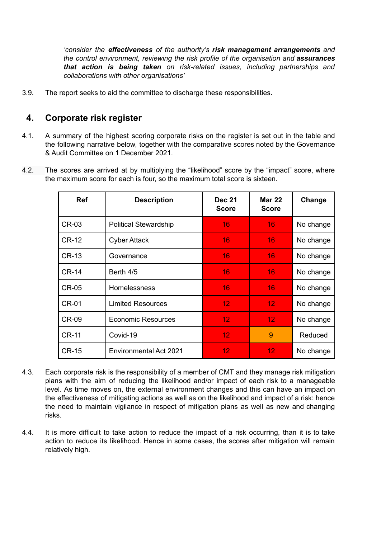*'consider the effectiveness of the authority's risk management arrangements and the control environment, reviewing the risk profile of the organisation and assurances that action is being taken on risk-related issues, including partnerships and collaborations with other organisations'*

3.9. The report seeks to aid the committee to discharge these responsibilities.

## **4. Corporate risk register**

- 4.1. A summary of the highest scoring corporate risks on the register is set out in the table and the following narrative below, together with the comparative scores noted by the Governance & Audit Committee on 1 December 2021.
- 4.2. The scores are arrived at by multiplying the "likelihood" score by the "impact" score, where the maximum score for each is four, so the maximum total score is sixteen.

| <b>Ref</b>   | <b>Description</b>           | <b>Dec 21</b><br><b>Score</b> | <b>Mar 22</b><br><b>Score</b> | Change    |
|--------------|------------------------------|-------------------------------|-------------------------------|-----------|
| <b>CR-03</b> | <b>Political Stewardship</b> | 16                            | 16                            | No change |
| <b>CR-12</b> | <b>Cyber Attack</b>          | 16                            | 16                            | No change |
| <b>CR-13</b> | Governance                   | 16                            | 16                            | No change |
| <b>CR-14</b> | Berth 4/5                    | 16                            | 16                            | No change |
| <b>CR-05</b> | Homelessness                 | 16                            | 16                            | No change |
| <b>CR-01</b> | <b>Limited Resources</b>     | 12 <sub>1</sub>               | 12 <sub>1</sub>               | No change |
| <b>CR-09</b> | <b>Economic Resources</b>    | 12 <sub>1</sub>               | 12 <sub>1</sub>               | No change |
| <b>CR-11</b> | Covid-19                     | 12 <sub>1</sub>               | 9                             | Reduced   |
| <b>CR-15</b> | Environmental Act 2021       | 12.                           | 12 <sub>1</sub>               | No change |

- 4.3. Each corporate risk is the responsibility of a member of CMT and they manage risk mitigation plans with the aim of reducing the likelihood and/or impact of each risk to a manageable level. As time moves on, the external environment changes and this can have an impact on the effectiveness of mitigating actions as well as on the likelihood and impact of a risk: hence the need to maintain vigilance in respect of mitigation plans as well as new and changing risks.
- 4.4. It is more difficult to take action to reduce the impact of a risk occurring, than it is to take action to reduce its likelihood. Hence in some cases, the scores after mitigation will remain relatively high.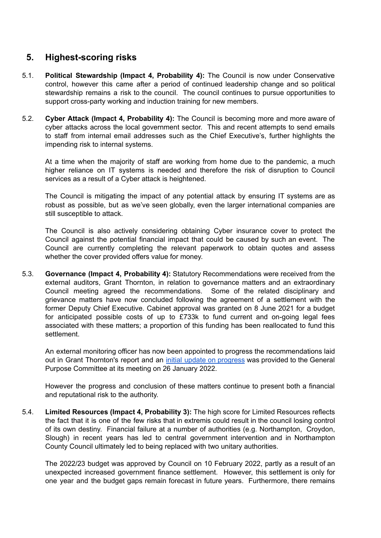# **5. Highest-scoring risks**

- 5.1. **Political Stewardship (Impact 4, Probability 4):** The Council is now under Conservative control, however this came after a period of continued leadership change and so political stewardship remains a risk to the council. The council continues to pursue opportunities to support cross-party working and induction training for new members.
- 5.2. **Cyber Attack (Impact 4, Probability 4):** The Council is becoming more and more aware of cyber attacks across the local government sector. This and recent attempts to send emails to staff from internal email addresses such as the Chief Executive's, further highlights the impending risk to internal systems.

At a time when the majority of staff are working from home due to the pandemic, a much higher reliance on IT systems is needed and therefore the risk of disruption to Council services as a result of a Cyber attack is heightened.

The Council is mitigating the impact of any potential attack by ensuring IT systems are as robust as possible, but as we've seen globally, even the larger international companies are still susceptible to attack.

The Council is also actively considering obtaining Cyber insurance cover to protect the Council against the potential financial impact that could be caused by such an event. The Council are currently completing the relevant paperwork to obtain quotes and assess whether the cover provided offers value for money.

5.3. **Governance (Impact 4, Probability 4):** Statutory Recommendations were received from the external auditors, Grant Thornton, in relation to governance matters and an extraordinary Council meeting agreed the recommendations. Some of the related disciplinary and grievance matters have now concluded following the agreement of a settlement with the former Deputy Chief Executive. Cabinet approval was granted on 8 June 2021 for a budget for anticipated possible costs of up to £733k to fund current and on-going legal fees associated with these matters; a proportion of this funding has been reallocated to fund this settlement.

An external monitoring officer has now been appointed to progress the recommendations laid out in Grant Thornton's report and an initial update on [progress](https://www.thanet.gov.uk/update-from-independent-monitoring-officer/) was provided to the General Purpose Committee at its meeting on 26 January 2022.

However the progress and conclusion of these matters continue to present both a financial and reputational risk to the authority.

5.4. **Limited Resources (Impact 4, Probability 3):** The high score for Limited Resources reflects the fact that it is one of the few risks that in extremis could result in the council losing control of its own destiny. Financial failure at a number of authorities (e.g. Northampton, Croydon, Slough) in recent years has led to central government intervention and in Northampton County Council ultimately led to being replaced with two unitary authorities.

The 2022/23 budget was approved by Council on 10 February 2022, partly as a result of an unexpected increased government finance settlement. However, this settlement is only for one year and the budget gaps remain forecast in future years. Furthermore, there remains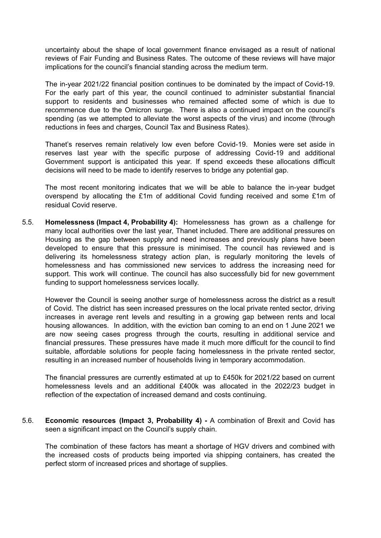uncertainty about the shape of local government finance envisaged as a result of national reviews of Fair Funding and Business Rates. The outcome of these reviews will have major implications for the council's financial standing across the medium term.

The in-year 2021/22 financial position continues to be dominated by the impact of Covid-19. For the early part of this year, the council continued to administer substantial financial support to residents and businesses who remained affected some of which is due to recommence due to the Omicron surge. There is also a continued impact on the council's spending (as we attempted to alleviate the worst aspects of the virus) and income (through reductions in fees and charges, Council Tax and Business Rates).

Thanet's reserves remain relatively low even before Covid-19. Monies were set aside in reserves last year with the specific purpose of addressing Covid-19 and additional Government support is anticipated this year. If spend exceeds these allocations difficult decisions will need to be made to identify reserves to bridge any potential gap.

The most recent monitoring indicates that we will be able to balance the in-year budget overspend by allocating the £1m of additional Covid funding received and some £1m of residual Covid reserve.

5.5. **Homelessness (Impact 4, Probability 4):** Homelessness has grown as a challenge for many local authorities over the last year, Thanet included. There are additional pressures on Housing as the gap between supply and need increases and previously plans have been developed to ensure that this pressure is minimised. The council has reviewed and is delivering its homelessness strategy action plan, is regularly monitoring the levels of homelessness and has commissioned new services to address the increasing need for support. This work will continue. The council has also successfully bid for new government funding to support homelessness services locally.

However the Council is seeing another surge of homelessness across the district as a result of Covid. The district has seen increased pressures on the local private rented sector, driving increases in average rent levels and resulting in a growing gap between rents and local housing allowances. In addition, with the eviction ban coming to an end on 1 June 2021 we are now seeing cases progress through the courts, resulting in additional service and financial pressures. These pressures have made it much more difficult for the council to find suitable, affordable solutions for people facing homelessness in the private rented sector, resulting in an increased number of households living in temporary accommodation.

The financial pressures are currently estimated at up to £450k for 2021/22 based on current homelessness levels and an additional £400k was allocated in the 2022/23 budget in reflection of the expectation of increased demand and costs continuing.

5.6. **Economic resources (Impact 3, Probability 4) -** A combination of Brexit and Covid has seen a significant impact on the Council's supply chain.

The combination of these factors has meant a shortage of HGV drivers and combined with the increased costs of products being imported via shipping containers, has created the perfect storm of increased prices and shortage of supplies.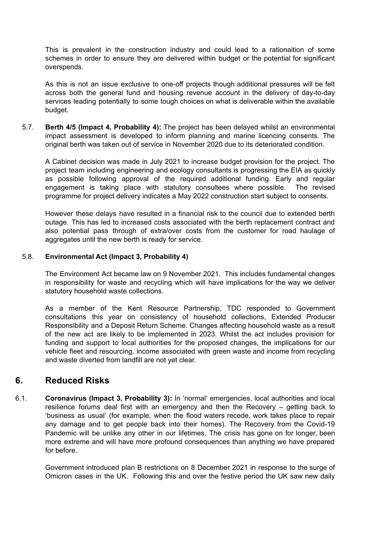This is prevalent in the construction industry and could lead to a rationaition of some schemes in order to ensure they are delivered within budget or the potential for significant overspends.

As this is not an issue exclusive to one-off projects though additional pressures will be felt across both the general fund and housing revenue account in the delivery of day-to-day services leading potentially to some tough choices on what is deliverable within the available budget.

5.7. **Berth 4/5 (Impact 4, Probability 4):** The project has been delayed whilst an environmental impact assessment is developed to inform planning and marine licencing consents. The original berth was taken out of service in November 2020 due to its deteriorated condition.

A Cabinet decision was made in July 2021 to increase budget provision for the project. The project team including engineering and ecology consultants is progressing the EIA as quickly as possible following approval of the required additional funding. Early and regular engagement is taking place with statutory consultees where possible. The revised programme for project delivery indicates a May 2022 construction start subject to consents.

However these delays have resulted in a financial risk to the council due to extended berth outage. This has led to increased costs associated with the berth replacement contract and also potential pass through of extra/over costs from the customer for road haulage of aggregates until the new berth is ready for service.

#### 5.8. **Environmental Act (Impact 3, Probability 4)**

The Environment Act became law on 9 November 2021. This includes fundamental changes in responsibility for waste and recycling which will have implications for the way we deliver statutory household waste collections.

As a member of the Kent Resource Partnership, TDC responded to Government consultations this year on consistency of household collections, Extended Producer Responsibility and a Deposit Return Scheme. Changes affecting household waste as a result of the new act are likely to be implemented in 2023. Whilst the act includes provision for funding and support to local authorities for the proposed changes, the implications for our vehicle fleet and resourcing, income associated with green waste and income from recycling and waste diverted from landfill are not yet clear.

## **6. Reduced Risks**

6.1. **Coronavirus (Impact 3, Probability 3):** In 'normal' emergencies, local authorities and local resilience forums deal first with an emergency and then the Recovery – getting back to 'business as usual' (for example, when the flood waters recede, work takes place to repair any damage and to get people back into their homes). The Recovery from the Covid-19 Pandemic will be unlike any other in our lifetimes. The crisis has gone on for longer, been more extreme and will have more profound consequences than anything we have prepared for before.

Government introduced plan B restrictions on 8 December 2021 in response to the surge of Omicron cases in the UK. Following this and over the festive period the UK saw new daily